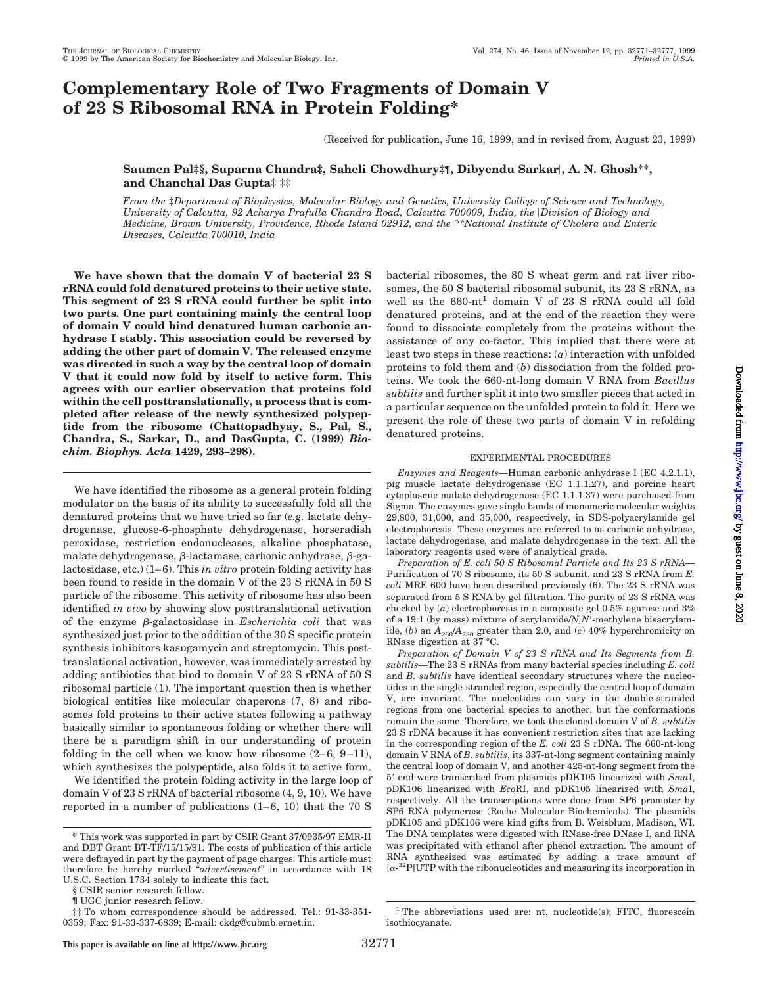# **Complementary Role of Two Fragments of Domain V of 23 S Ribosomal RNA in Protein Folding\***

(Received for publication, June 16, 1999, and in revised from, August 23, 1999)

## **Saumen Pal‡§, Suparna Chandra‡, Saheli Chowdhury‡¶, Dibyendu Sarkar**i**, A. N. Ghosh\*\*, and Chanchal Das Gupta‡ ‡‡**

*From the* ‡*Department of Biophysics, Molecular Biology and Genetics, University College of Science and Technology, University of Calcutta, 92 Acharya Prafulla Chandra Road, Calcutta 700009, India, the* i*Division of Biology and Medicine, Brown University, Providence, Rhode Island 02912, and the \*\*National Institute of Cholera and Enteric Diseases, Calcutta 700010, India*

**We have shown that the domain V of bacterial 23 S rRNA could fold denatured proteins to their active state. This segment of 23 S rRNA could further be split into two parts. One part containing mainly the central loop of domain V could bind denatured human carbonic anhydrase I stably. This association could be reversed by adding the other part of domain V. The released enzyme was directed in such a way by the central loop of domain V that it could now fold by itself to active form. This agrees with our earlier observation that proteins fold within the cell posttranslationally, a process that is completed after release of the newly synthesized polypeptide from the ribosome (Chattopadhyay, S., Pal, S., Chandra, S., Sarkar, D., and DasGupta, C. (1999)** *Biochim. Biophys. Acta* **1429, 293–298).**

We have identified the ribosome as a general protein folding modulator on the basis of its ability to successfully fold all the denatured proteins that we have tried so far (*e.g.* lactate dehydrogenase, glucose-6-phosphate dehydrogenase, horseradish peroxidase, restriction endonucleases, alkaline phosphatase, malate dehydrogenase,  $\beta$ -lactamase, carbonic anhydrase,  $\beta$ -galactosidase, etc.) (1–6). This *in vitro* protein folding activity has been found to reside in the domain V of the 23 S rRNA in 50 S particle of the ribosome. This activity of ribosome has also been identified *in vivo* by showing slow posttranslational activation of the enzyme b-galactosidase in *Escherichia coli* that was synthesized just prior to the addition of the 30 S specific protein synthesis inhibitors kasugamycin and streptomycin. This posttranslational activation, however, was immediately arrested by adding antibiotics that bind to domain V of 23 S rRNA of 50 S ribosomal particle (1). The important question then is whether biological entities like molecular chaperons (7, 8) and ribosomes fold proteins to their active states following a pathway basically similar to spontaneous folding or whether there will there be a paradigm shift in our understanding of protein folding in the cell when we know how ribosome  $(2-6, 9-11)$ , which synthesizes the polypeptide, also folds it to active form.

We identified the protein folding activity in the large loop of domain V of 23 S rRNA of bacterial ribosome (4, 9, 10). We have reported in a number of publications (1–6, 10) that the 70 S bacterial ribosomes, the 80 S wheat germ and rat liver ribosomes, the 50 S bacterial ribosomal subunit, its 23 S rRNA, as well as the 660-nt<sup>1</sup> domain V of 23 S rRNA could all fold denatured proteins, and at the end of the reaction they were found to dissociate completely from the proteins without the assistance of any co-factor. This implied that there were at least two steps in these reactions: (*a*) interaction with unfolded proteins to fold them and (*b*) dissociation from the folded proteins. We took the 660-nt-long domain V RNA from *Bacillus subtilis* and further split it into two smaller pieces that acted in a particular sequence on the unfolded protein to fold it. Here we present the role of these two parts of domain V in refolding denatured proteins.

### EXPERIMENTAL PROCEDURES

*Enzymes and Reagents—*Human carbonic anhydrase I (EC 4.2.1.1), pig muscle lactate dehydrogenase (EC 1.1.1.27), and porcine heart cytoplasmic malate dehydrogenase (EC 1.1.1.37) were purchased from Sigma. The enzymes gave single bands of monomeric molecular weights 29,800, 31,000, and 35,000, respectively, in SDS-polyacrylamide gel electrophoresis. These enzymes are referred to as carbonic anhydrase, lactate dehydrogenase, and malate dehydrogenase in the text. All the laboratory reagents used were of analytical grade.

*Preparation of E. coli 50 S Ribosomal Particle and Its 23 S rRNA—* Purification of 70 S ribosome, its 50 S subunit, and 23 S rRNA from *E. coli* MRE 600 have been described previously (6). The 23 S rRNA was separated from 5 S RNA by gel filtration. The purity of 23 S rRNA was checked by (*a*) electrophoresis in a composite gel 0.5% agarose and 3% of a 19:1 (by mass) mixture of acrylamide/*N*,*N'*-methylene bisacrylamide, (*b*) an  $A_{260}/A_{280}$  greater than 2.0, and (*c*) 40% hyperchromicity on RNase digestion at 37 °C.

*Preparation of Domain V of 23 S rRNA and Its Segments from B. subtilis—*The 23 S rRNAs from many bacterial species including *E. coli* and *B. subtilis* have identical secondary structures where the nucleotides in the single-stranded region, especially the central loop of domain V, are invariant. The nucleotides can vary in the double-stranded regions from one bacterial species to another, but the conformations remain the same. Therefore, we took the cloned domain V of *B. subtilis* 23 S rDNA because it has convenient restriction sites that are lacking in the corresponding region of the *E. coli* 23 S rDNA. The 660-nt-long domain V RNA of *B. subtilis*, its 337-nt-long segment containing mainly the central loop of domain V, and another 425-nt-long segment from the 5' end were transcribed from plasmids pDK105 linearized with *SmaI*, pDK106 linearized with *Eco*RI, and pDK105 linearized with *Sma*I, respectively. All the transcriptions were done from SP6 promoter by SP6 RNA polymerase (Roche Molecular Biochemicals). The plasmids pDK105 and pDK106 were kind gifts from B. Weisblum, Madison, WI. The DNA templates were digested with RNase-free DNase I, and RNA was precipitated with ethanol after phenol extraction. The amount of RNA synthesized was estimated by adding a trace amount of [a-32P]UTP with the ribonucleotides and measuring its incorporation in

<sup>\*</sup> This work was supported in part by CSIR Grant 37/0935/97 EMR-II and DBT Grant BT-TF/15/15/91. The costs of publication of this article were defrayed in part by the payment of page charges. This article must therefore be hereby marked "*advertisement*" in accordance with 18 U.S.C. Section 1734 solely to indicate this fact.

<sup>§</sup> CSIR senior research fellow.

<sup>¶</sup> UGC junior research fellow.

<sup>‡‡</sup> To whom correspondence should be addressed. Tel.: 91-33-351- 0359; Fax: 91-33-337-6839; E-mail: ckdg@cubmb.ernet.in.

<sup>&</sup>lt;sup>1</sup> The abbreviations used are: nt, nucleotide(s); FITC, fluorescein isothiocyanate.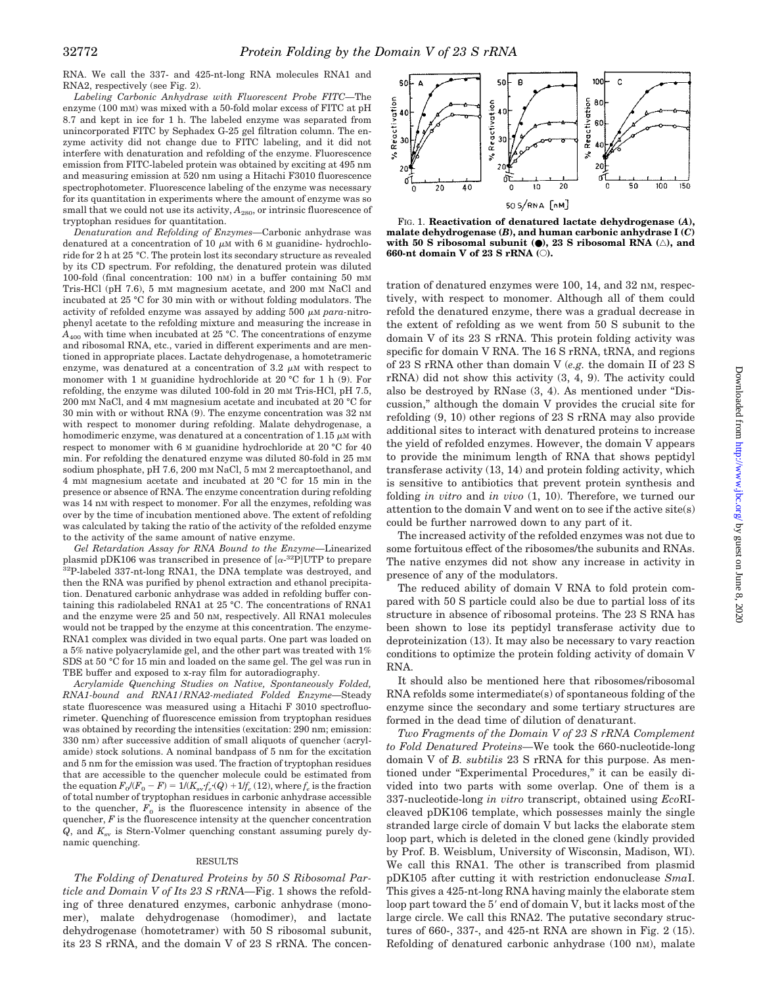RNA. We call the 337- and 425-nt-long RNA molecules RNA1 and RNA2, respectively (see Fig. 2).

*Labeling Carbonic Anhydrase with Fluorescent Probe FITC—*The enzyme (100 mM) was mixed with a 50-fold molar excess of FITC at pH 8.7 and kept in ice for 1 h. The labeled enzyme was separated from unincorporated FITC by Sephadex G-25 gel filtration column. The enzyme activity did not change due to FITC labeling, and it did not interfere with denaturation and refolding of the enzyme. Fluorescence emission from FITC-labeled protein was obtained by exciting at 495 nm and measuring emission at 520 nm using a Hitachi F3010 fluorescence spectrophotometer. Fluorescence labeling of the enzyme was necessary for its quantitation in experiments where the amount of enzyme was so small that we could not use its activity,  $A_{280}$ , or intrinsic fluorescence of tryptophan residues for quantitation.

*Denaturation and Refolding of Enzymes—*Carbonic anhydrase was denatured at a concentration of 10  $\mu$ M with 6 M guanidine- hydrochloride for 2 h at 25 °C. The protein lost its secondary structure as revealed by its CD spectrum. For refolding, the denatured protein was diluted 100-fold (final concentration: 100 nM) in a buffer containing 50 mM Tris-HCl (pH 7.6), 5 mM magnesium acetate, and 200 mM NaCl and incubated at 25 °C for 30 min with or without folding modulators. The activity of refolded enzyme was assayed by adding 500  $\mu$ M *para*-nitrophenyl acetate to the refolding mixture and measuring the increase in  $A_{400}$  with time when incubated at 25 °C. The concentrations of enzyme and ribosomal RNA, etc., varied in different experiments and are mentioned in appropriate places. Lactate dehydrogenase, a homotetrameric enzyme, was denatured at a concentration of 3.2  $\mu$ M with respect to monomer with 1 M guanidine hydrochloride at 20 °C for 1 h (9). For refolding, the enzyme was diluted 100-fold in 20 mM Tris-HCl, pH 7.5, 200 mM NaCl, and 4 mM magnesium acetate and incubated at 20 °C for 30 min with or without RNA (9). The enzyme concentration was 32 nM with respect to monomer during refolding. Malate dehydrogenase, a homodimeric enzyme, was denatured at a concentration of 1.15  $\mu$ M with respect to monomer with 6 M guanidine hydrochloride at 20 °C for 40 min. For refolding the denatured enzyme was diluted 80-fold in 25 mM sodium phosphate, pH 7.6, 200 mM NaCl, 5 mM 2 mercaptoethanol, and 4 mM magnesium acetate and incubated at 20 °C for 15 min in the presence or absence of RNA. The enzyme concentration during refolding was 14 nM with respect to monomer. For all the enzymes, refolding was over by the time of incubation mentioned above. The extent of refolding was calculated by taking the ratio of the activity of the refolded enzyme to the activity of the same amount of native enzyme.

*Gel Retardation Assay for RNA Bound to the Enzyme—*Linearized plasmid pDK106 was transcribed in presence of  $\left[\alpha^{-32}P\right]$ UTP to prepare 32P-labeled 337-nt-long RNA1, the DNA template was destroyed, and then the RNA was purified by phenol extraction and ethanol precipitation. Denatured carbonic anhydrase was added in refolding buffer containing this radiolabeled RNA1 at 25 °C. The concentrations of RNA1 and the enzyme were 25 and 50 nM, respectively. All RNA1 molecules would not be trapped by the enzyme at this concentration. The enzyme-RNA1 complex was divided in two equal parts. One part was loaded on a 5% native polyacrylamide gel, and the other part was treated with 1% SDS at 50 °C for 15 min and loaded on the same gel. The gel was run in TBE buffer and exposed to x-ray film for autoradiography.

*Acrylamide Quenching Studies on Native, Spontaneously Folded, RNA1-bound and RNA1/RNA2-mediated Folded Enzyme—*Steady state fluorescence was measured using a Hitachi F 3010 spectrofluorimeter. Quenching of fluorescence emission from tryptophan residues was obtained by recording the intensities (excitation: 290 nm; emission: 330 nm) after successive addition of small aliquots of quencher (acrylamide) stock solutions. A nominal bandpass of 5 nm for the excitation and 5 nm for the emission was used. The fraction of tryptophan residues that are accessible to the quencher molecule could be estimated from the equation  $F_0/(F_0 - F) = 1/(K_{\rm sv} f_e \cdot (Q) + 1/f_e (12)$ , where  $f_e$  is the fraction of total number of tryptophan residues in carbonic anhydrase accessible to the quencher,  $F_0$  is the fluorescence intensity in absence of the quencher, *F* is the fluorescence intensity at the quencher concentration  $Q$ , and  $K_{\rm sv}$  is Stern-Volmer quenching constant assuming purely dynamic quenching.

#### RESULTS

*The Folding of Denatured Proteins by 50 S Ribosomal Particle and Domain V of Its 23 S rRNA—*Fig. 1 shows the refolding of three denatured enzymes, carbonic anhydrase (monomer), malate dehydrogenase (homodimer), and lactate dehydrogenase (homotetramer) with 50 S ribosomal subunit, its 23 S rRNA, and the domain V of 23 S rRNA. The concen-



FIG. 1. **Reactivation of denatured lactate dehydrogenase (***A***), malate dehydrogenase (***B***), and human carbonic anhydrase I (***C***) with 50 S ribosomal subunit (●), 23 S ribosomal RNA** (△), and **660-nt domain V of 23 S rRNA (**E**).**

tration of denatured enzymes were 100, 14, and 32 nM, respectively, with respect to monomer. Although all of them could refold the denatured enzyme, there was a gradual decrease in the extent of refolding as we went from 50 S subunit to the domain V of its 23 S rRNA. This protein folding activity was specific for domain V RNA. The 16 S rRNA, tRNA, and regions of 23 S rRNA other than domain V (*e.g.* the domain II of 23 S rRNA) did not show this activity (3, 4, 9). The activity could also be destroyed by RNase (3, 4). As mentioned under "Discussion," although the domain V provides the crucial site for refolding (9, 10) other regions of 23 S rRNA may also provide additional sites to interact with denatured proteins to increase the yield of refolded enzymes. However, the domain V appears to provide the minimum length of RNA that shows peptidyl transferase activity (13, 14) and protein folding activity, which is sensitive to antibiotics that prevent protein synthesis and folding *in vitro* and *in vivo* (1, 10). Therefore, we turned our attention to the domain V and went on to see if the active site(s) could be further narrowed down to any part of it.

The increased activity of the refolded enzymes was not due to some fortuitous effect of the ribosomes/the subunits and RNAs. The native enzymes did not show any increase in activity in presence of any of the modulators.

The reduced ability of domain V RNA to fold protein compared with 50 S particle could also be due to partial loss of its structure in absence of ribosomal proteins. The 23 S RNA has been shown to lose its peptidyl transferase activity due to deproteinization (13). It may also be necessary to vary reaction conditions to optimize the protein folding activity of domain V RNA.

It should also be mentioned here that ribosomes/ribosomal RNA refolds some intermediate(s) of spontaneous folding of the enzyme since the secondary and some tertiary structures are formed in the dead time of dilution of denaturant.

*Two Fragments of the Domain V of 23 S rRNA Complement to Fold Denatured Proteins—*We took the 660-nucleotide-long domain V of *B. subtilis* 23 S rRNA for this purpose. As mentioned under "Experimental Procedures," it can be easily divided into two parts with some overlap. One of them is a 337-nucleotide-long *in vitro* transcript, obtained using *Eco*RIcleaved pDK106 template, which possesses mainly the single stranded large circle of domain V but lacks the elaborate stem loop part, which is deleted in the cloned gene (kindly provided by Prof. B. Weisblum, University of Wisconsin, Madison, WI). We call this RNA1. The other is transcribed from plasmid pDK105 after cutting it with restriction endonuclease *Sma*I. This gives a 425-nt-long RNA having mainly the elaborate stem loop part toward the 5' end of domain V, but it lacks most of the large circle. We call this RNA2. The putative secondary structures of 660-, 337-, and 425-nt RNA are shown in Fig. 2 (15). Refolding of denatured carbonic anhydrase (100 nm), malate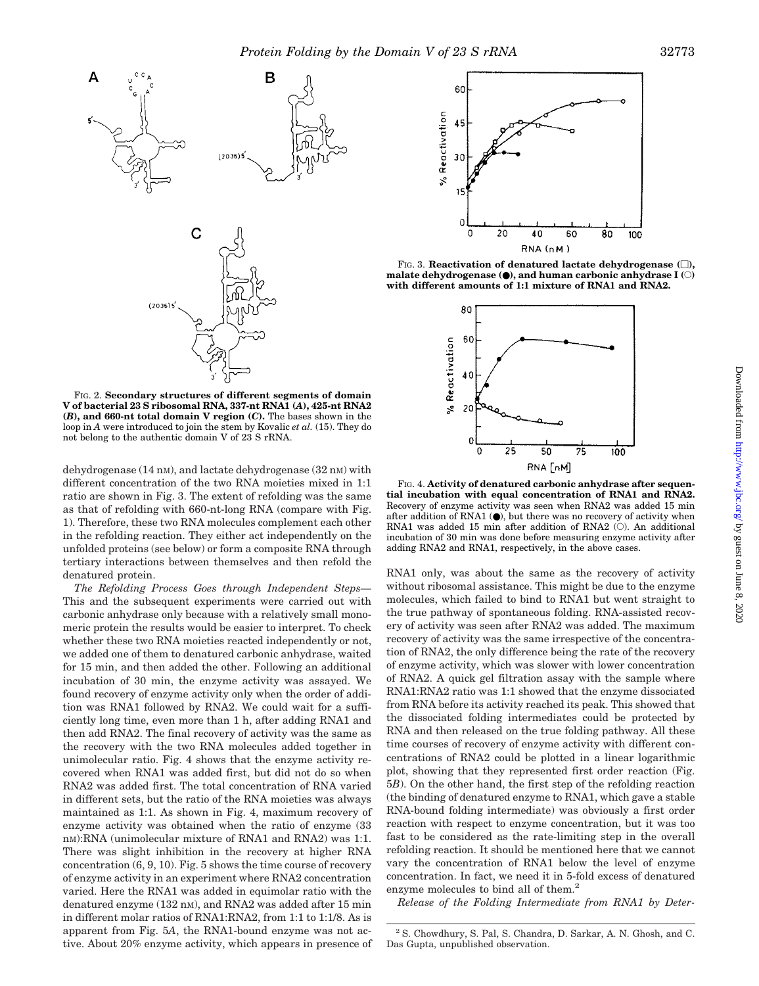

FIG. 2. **Secondary structures of different segments of domain V of bacterial 23 S ribosomal RNA, 337-nt RNA1 (***A***), 425-nt RNA2 (***B***), and 660-nt total domain V region (***C***).** The bases shown in the loop in *A* were introduced to join the stem by Kovalic *et al.* (15). They do not belong to the authentic domain V of 23 S rRNA.

dehydrogenase  $(14 \text{ nm})$ , and lactate dehydrogenase  $(32 \text{ nm})$  with different concentration of the two RNA moieties mixed in 1:1 ratio are shown in Fig. 3. The extent of refolding was the same as that of refolding with 660-nt-long RNA (compare with Fig. 1). Therefore, these two RNA molecules complement each other in the refolding reaction. They either act independently on the unfolded proteins (see below) or form a composite RNA through tertiary interactions between themselves and then refold the denatured protein.

*The Refolding Process Goes through Independent Steps—* This and the subsequent experiments were carried out with carbonic anhydrase only because with a relatively small monomeric protein the results would be easier to interpret. To check whether these two RNA moieties reacted independently or not, we added one of them to denatured carbonic anhydrase, waited for 15 min, and then added the other. Following an additional incubation of 30 min, the enzyme activity was assayed. We found recovery of enzyme activity only when the order of addition was RNA1 followed by RNA2. We could wait for a sufficiently long time, even more than 1 h, after adding RNA1 and then add RNA2. The final recovery of activity was the same as the recovery with the two RNA molecules added together in unimolecular ratio. Fig. 4 shows that the enzyme activity recovered when RNA1 was added first, but did not do so when RNA2 was added first. The total concentration of RNA varied in different sets, but the ratio of the RNA moieties was always maintained as 1:1. As shown in Fig. 4, maximum recovery of enzyme activity was obtained when the ratio of enzyme (33 nM):RNA (unimolecular mixture of RNA1 and RNA2) was 1:1. There was slight inhibition in the recovery at higher RNA concentration (6, 9, 10). Fig. 5 shows the time course of recovery of enzyme activity in an experiment where RNA2 concentration varied. Here the RNA1 was added in equimolar ratio with the denatured enzyme (132 nM), and RNA2 was added after 15 min in different molar ratios of RNA1:RNA2, from 1:1 to 1:1/8. As is apparent from Fig. 5*A*, the RNA1-bound enzyme was not active. About 20% enzyme activity, which appears in presence of



FIG. 3. **Reactivation of denatured lactate dehydrogenase**  $\Box$ **)**, **malate dehydrogenase (**●**), and human carbonic anhydrase I (**E**) with different amounts of 1:1 mixture of RNA1 and RNA2.**



FIG. 4. **Activity of denatured carbonic anhydrase after sequential incubation with equal concentration of RNA1 and RNA2.** Recovery of enzyme activity was seen when RNA2 was added 15 min after addition of RNA1  $(①)$ , but there was no recovery of activity when RNA1 was added 15 min after addition of RNA2  $(\bigcirc)$ . An additional incubation of 30 min was done before measuring enzyme activity after adding RNA2 and RNA1, respectively, in the above cases.

RNA1 only, was about the same as the recovery of activity without ribosomal assistance. This might be due to the enzyme molecules, which failed to bind to RNA1 but went straight to the true pathway of spontaneous folding. RNA-assisted recovery of activity was seen after RNA2 was added. The maximum recovery of activity was the same irrespective of the concentration of RNA2, the only difference being the rate of the recovery of enzyme activity, which was slower with lower concentration of RNA2. A quick gel filtration assay with the sample where RNA1:RNA2 ratio was 1:1 showed that the enzyme dissociated from RNA before its activity reached its peak. This showed that the dissociated folding intermediates could be protected by RNA and then released on the true folding pathway. All these time courses of recovery of enzyme activity with different concentrations of RNA2 could be plotted in a linear logarithmic plot, showing that they represented first order reaction (Fig. 5*B*). On the other hand, the first step of the refolding reaction (the binding of denatured enzyme to RNA1, which gave a stable RNA-bound folding intermediate) was obviously a first order reaction with respect to enzyme concentration, but it was too fast to be considered as the rate-limiting step in the overall refolding reaction. It should be mentioned here that we cannot vary the concentration of RNA1 below the level of enzyme concentration. In fact, we need it in 5-fold excess of denatured enzyme molecules to bind all of them.<sup>2</sup>

*Release of the Folding Intermediate from RNA1 by Deter-*

<sup>2</sup> S. Chowdhury, S. Pal, S. Chandra, D. Sarkar, A. N. Ghosh, and C. Das Gupta, unpublished observation.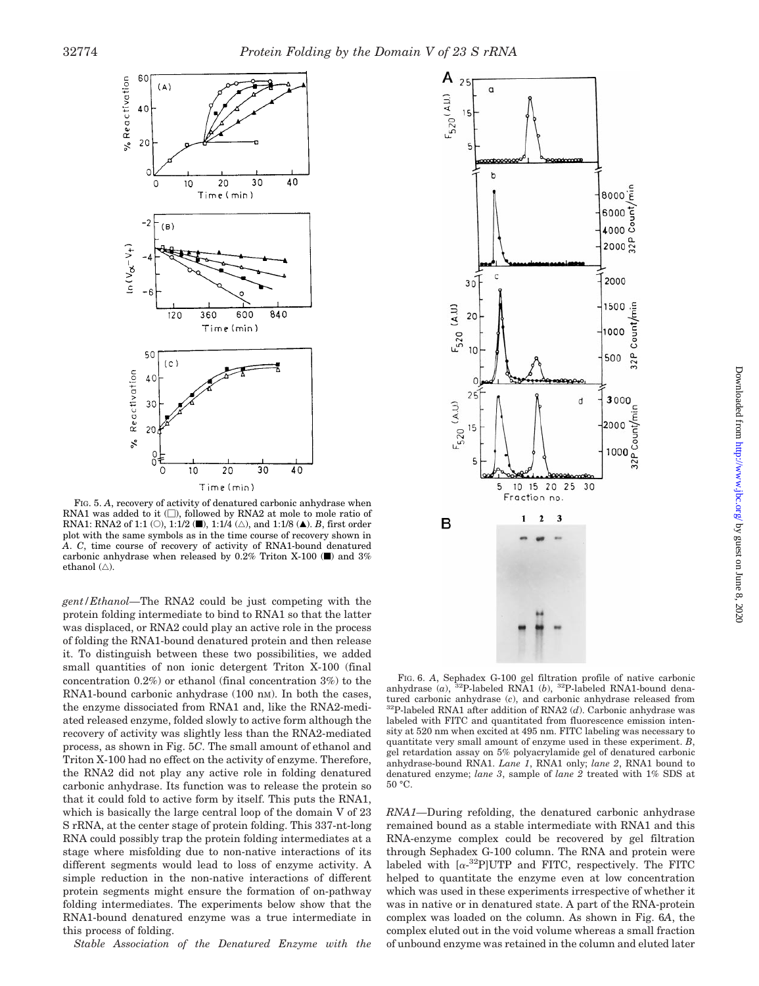

FIG. 5. *A*, recovery of activity of denatured carbonic anhydrase when RNA1 was added to it  $(\Box)$ , followed by RNA2 at mole to mole ratio of RNA1: RNA2 of 1:1 (O), 1:1/2 ( $\blacksquare$ ), 1:1/4 ( $\triangle$ ), and 1:1/8 ( $\blacktriangle$ ). *B*, first order plot with the same symbols as in the time course of recovery shown in *A*. *C*, time course of recovery of activity of RNA1-bound denatured carbonic anhydrase when released by 0.2% Triton X-100 ( $\blacksquare$ ) and 3% ethanol  $(\triangle)$ .

*gent/Ethanol—*The RNA2 could be just competing with the protein folding intermediate to bind to RNA1 so that the latter was displaced, or RNA2 could play an active role in the process of folding the RNA1-bound denatured protein and then release it. To distinguish between these two possibilities, we added small quantities of non ionic detergent Triton X-100 (final concentration 0.2%) or ethanol (final concentration 3%) to the RNA1-bound carbonic anhydrase (100 nm). In both the cases, the enzyme dissociated from RNA1 and, like the RNA2-mediated released enzyme, folded slowly to active form although the recovery of activity was slightly less than the RNA2-mediated process, as shown in Fig. 5*C*. The small amount of ethanol and Triton X-100 had no effect on the activity of enzyme. Therefore, the RNA2 did not play any active role in folding denatured carbonic anhydrase. Its function was to release the protein so that it could fold to active form by itself. This puts the RNA1, which is basically the large central loop of the domain V of 23 S rRNA, at the center stage of protein folding. This 337-nt-long RNA could possibly trap the protein folding intermediates at a stage where misfolding due to non-native interactions of its different segments would lead to loss of enzyme activity. A simple reduction in the non-native interactions of different protein segments might ensure the formation of on-pathway folding intermediates. The experiments below show that the RNA1-bound denatured enzyme was a true intermediate in this process of folding.

*Stable Association of the Denatured Enzyme with the*



FIG. 6. *A*, Sephadex G-100 gel filtration profile of native carbonic anhydrase (*a*), 32P-labeled RNA1 (*b*), 32P-labeled RNA1-bound denatured carbonic anhydrase (*c*), and carbonic anhydrase released from 32P-labeled RNA1 after addition of RNA2 (*d*). Carbonic anhydrase was labeled with FITC and quantitated from fluorescence emission intensity at 520 nm when excited at 495 nm. FITC labeling was necessary to quantitate very small amount of enzyme used in these experiment. *B*, gel retardation assay on 5% polyacrylamide gel of denatured carbonic anhydrase-bound RNA1. *Lane 1*, RNA1 only; *lane 2*, RNA1 bound to denatured enzyme; *lane 3*, sample of *lane 2* treated with 1% SDS at 50 °C.

*RNA1—*During refolding, the denatured carbonic anhydrase remained bound as a stable intermediate with RNA1 and this RNA-enzyme complex could be recovered by gel filtration through Sephadex G-100 column. The RNA and protein were labeled with  $[\alpha^{-32}P]$ UTP and FITC, respectively. The FITC helped to quantitate the enzyme even at low concentration which was used in these experiments irrespective of whether it was in native or in denatured state. A part of the RNA-protein complex was loaded on the column. As shown in Fig. 6*A*, the complex eluted out in the void volume whereas a small fraction of unbound enzyme was retained in the column and eluted later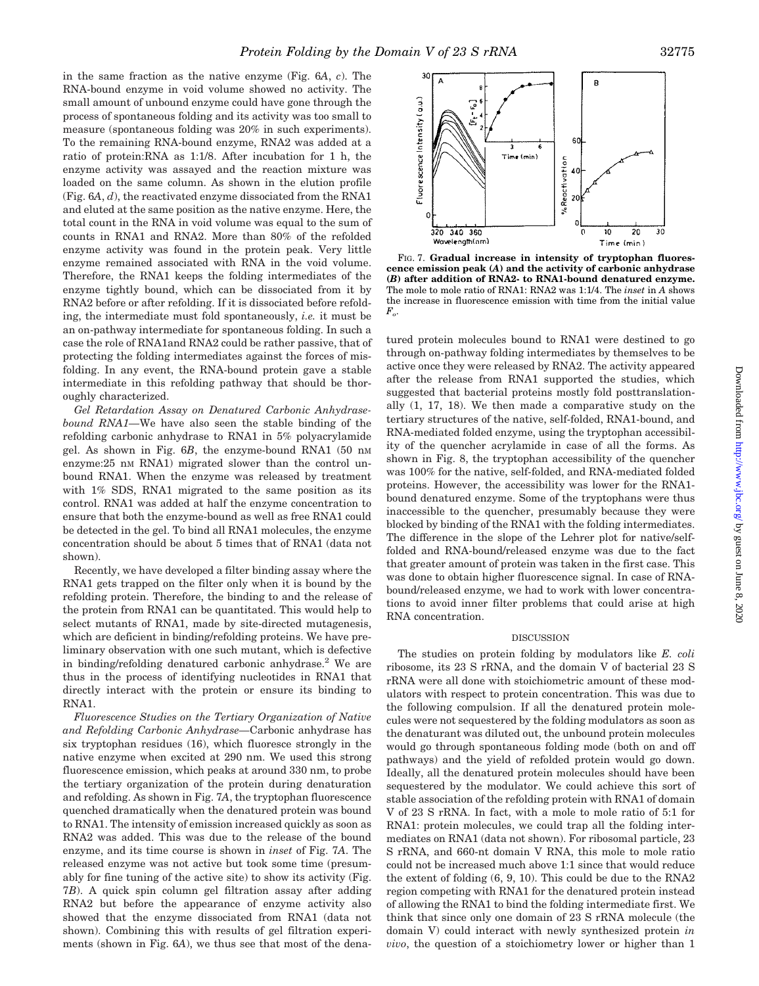in the same fraction as the native enzyme (Fig. 6*A*, *c*). The RNA-bound enzyme in void volume showed no activity. The small amount of unbound enzyme could have gone through the process of spontaneous folding and its activity was too small to measure (spontaneous folding was 20% in such experiments). To the remaining RNA-bound enzyme, RNA2 was added at a ratio of protein:RNA as 1:1/8. After incubation for 1 h, the enzyme activity was assayed and the reaction mixture was loaded on the same column. As shown in the elution profile (Fig. 6*A*, *d*), the reactivated enzyme dissociated from the RNA1 and eluted at the same position as the native enzyme. Here, the total count in the RNA in void volume was equal to the sum of counts in RNA1 and RNA2. More than 80% of the refolded enzyme activity was found in the protein peak. Very little enzyme remained associated with RNA in the void volume. Therefore, the RNA1 keeps the folding intermediates of the enzyme tightly bound, which can be dissociated from it by RNA2 before or after refolding. If it is dissociated before refolding, the intermediate must fold spontaneously, *i.e.* it must be an on-pathway intermediate for spontaneous folding. In such a case the role of RNA1and RNA2 could be rather passive, that of protecting the folding intermediates against the forces of misfolding. In any event, the RNA-bound protein gave a stable intermediate in this refolding pathway that should be thoroughly characterized.

*Gel Retardation Assay on Denatured Carbonic Anhydrasebound RNA1—*We have also seen the stable binding of the refolding carbonic anhydrase to RNA1 in 5% polyacrylamide gel. As shown in Fig. 6*B*, the enzyme-bound RNA1 (50 nM enzyme:25 nm RNA1) migrated slower than the control unbound RNA1. When the enzyme was released by treatment with 1% SDS, RNA1 migrated to the same position as its control. RNA1 was added at half the enzyme concentration to ensure that both the enzyme-bound as well as free RNA1 could be detected in the gel. To bind all RNA1 molecules, the enzyme concentration should be about 5 times that of RNA1 (data not shown).

Recently, we have developed a filter binding assay where the RNA1 gets trapped on the filter only when it is bound by the refolding protein. Therefore, the binding to and the release of the protein from RNA1 can be quantitated. This would help to select mutants of RNA1, made by site-directed mutagenesis, which are deficient in binding/refolding proteins. We have preliminary observation with one such mutant, which is defective in binding/refolding denatured carbonic anhydrase.<sup>2</sup> We are thus in the process of identifying nucleotides in RNA1 that directly interact with the protein or ensure its binding to RNA1.

*Fluorescence Studies on the Tertiary Organization of Native and Refolding Carbonic Anhydrase—*Carbonic anhydrase has six tryptophan residues (16), which fluoresce strongly in the native enzyme when excited at 290 nm. We used this strong fluorescence emission, which peaks at around 330 nm, to probe the tertiary organization of the protein during denaturation and refolding. As shown in Fig. 7*A*, the tryptophan fluorescence quenched dramatically when the denatured protein was bound to RNA1. The intensity of emission increased quickly as soon as RNA2 was added. This was due to the release of the bound enzyme, and its time course is shown in *inset* of Fig. 7*A*. The released enzyme was not active but took some time (presumably for fine tuning of the active site) to show its activity (Fig. 7*B*). A quick spin column gel filtration assay after adding RNA2 but before the appearance of enzyme activity also showed that the enzyme dissociated from RNA1 (data not shown). Combining this with results of gel filtration experiments (shown in Fig. 6*A*), we thus see that most of the dena-



FIG. 7. **Gradual increase in intensity of tryptophan fluorescence emission peak (***A***) and the activity of carbonic anhydrase (***B***) after addition of RNA2- to RNA1-bound denatured enzyme.** The mole to mole ratio of RNA1: RNA2 was 1:1/4. The *inset* in *A* shows the increase in fluorescence emission with time from the initial value  $\boldsymbol{F}_{o}.$ 

tured protein molecules bound to RNA1 were destined to go through on-pathway folding intermediates by themselves to be active once they were released by RNA2. The activity appeared after the release from RNA1 supported the studies, which suggested that bacterial proteins mostly fold posttranslationally (1, 17, 18). We then made a comparative study on the tertiary structures of the native, self-folded, RNA1-bound, and RNA-mediated folded enzyme, using the tryptophan accessibility of the quencher acrylamide in case of all the forms. As shown in Fig. 8, the tryptophan accessibility of the quencher was 100% for the native, self-folded, and RNA-mediated folded proteins. However, the accessibility was lower for the RNA1 bound denatured enzyme. Some of the tryptophans were thus inaccessible to the quencher, presumably because they were blocked by binding of the RNA1 with the folding intermediates. The difference in the slope of the Lehrer plot for native/selffolded and RNA-bound/released enzyme was due to the fact that greater amount of protein was taken in the first case. This was done to obtain higher fluorescence signal. In case of RNAbound/released enzyme, we had to work with lower concentrations to avoid inner filter problems that could arise at high RNA concentration.

#### **DISCUSSION**

The studies on protein folding by modulators like *E. coli* ribosome, its 23 S rRNA, and the domain V of bacterial 23 S rRNA were all done with stoichiometric amount of these modulators with respect to protein concentration. This was due to the following compulsion. If all the denatured protein molecules were not sequestered by the folding modulators as soon as the denaturant was diluted out, the unbound protein molecules would go through spontaneous folding mode (both on and off pathways) and the yield of refolded protein would go down. Ideally, all the denatured protein molecules should have been sequestered by the modulator. We could achieve this sort of stable association of the refolding protein with RNA1 of domain V of 23 S rRNA. In fact, with a mole to mole ratio of 5:1 for RNA1: protein molecules, we could trap all the folding intermediates on RNA1 (data not shown). For ribosomal particle, 23 S rRNA, and 660-nt domain V RNA, this mole to mole ratio could not be increased much above 1:1 since that would reduce the extent of folding (6, 9, 10). This could be due to the RNA2 region competing with RNA1 for the denatured protein instead of allowing the RNA1 to bind the folding intermediate first. We think that since only one domain of 23 S rRNA molecule (the domain V) could interact with newly synthesized protein *in vivo*, the question of a stoichiometry lower or higher than 1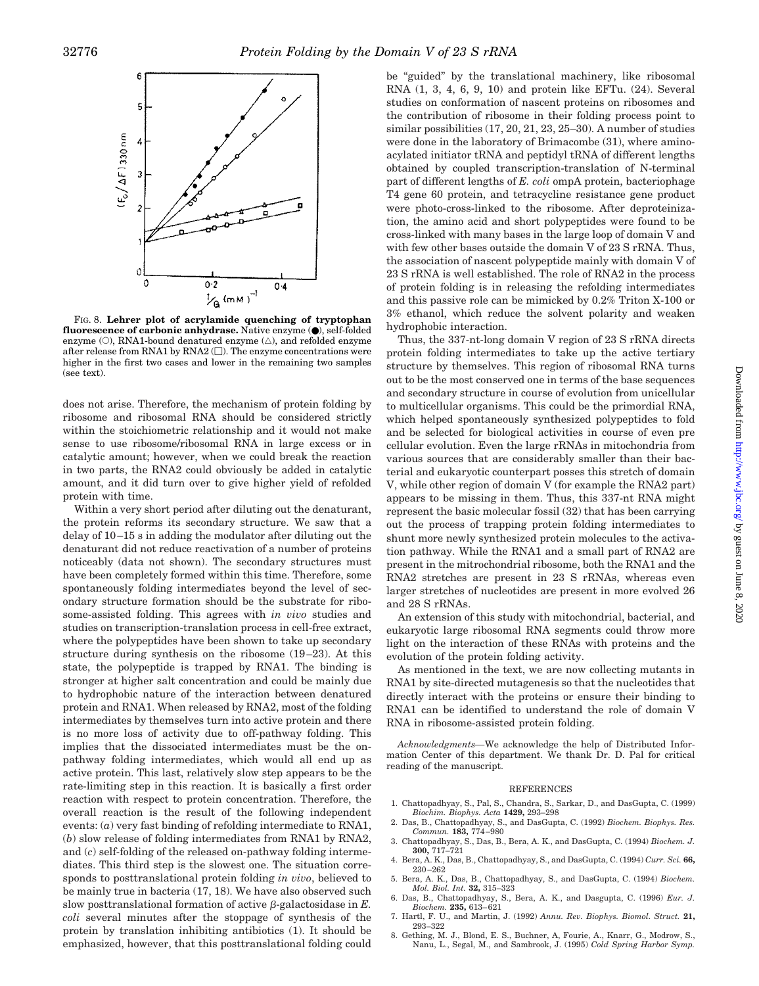

FIG. 8. **Lehrer plot of acrylamide quenching of tryptophan fluorescence of carbonic anhydrase.** Native enzyme (●), self-folded enzyme ( $\circ$ ), RNA1-bound denatured enzyme ( $\triangle$ ), and refolded enzyme after release from RNA1 by RNA2  $(\Box)$ . The enzyme concentrations were higher in the first two cases and lower in the remaining two samples (see text).

does not arise. Therefore, the mechanism of protein folding by ribosome and ribosomal RNA should be considered strictly within the stoichiometric relationship and it would not make sense to use ribosome/ribosomal RNA in large excess or in catalytic amount; however, when we could break the reaction in two parts, the RNA2 could obviously be added in catalytic amount, and it did turn over to give higher yield of refolded protein with time.

Within a very short period after diluting out the denaturant, the protein reforms its secondary structure. We saw that a delay of 10–15 s in adding the modulator after diluting out the denaturant did not reduce reactivation of a number of proteins noticeably (data not shown). The secondary structures must have been completely formed within this time. Therefore, some spontaneously folding intermediates beyond the level of secondary structure formation should be the substrate for ribosome-assisted folding. This agrees with *in vivo* studies and studies on transcription-translation process in cell-free extract, where the polypeptides have been shown to take up secondary structure during synthesis on the ribosome (19–23). At this state, the polypeptide is trapped by RNA1. The binding is stronger at higher salt concentration and could be mainly due to hydrophobic nature of the interaction between denatured protein and RNA1. When released by RNA2, most of the folding intermediates by themselves turn into active protein and there is no more loss of activity due to off-pathway folding. This implies that the dissociated intermediates must be the onpathway folding intermediates, which would all end up as active protein. This last, relatively slow step appears to be the rate-limiting step in this reaction. It is basically a first order reaction with respect to protein concentration. Therefore, the overall reaction is the result of the following independent events: (*a*) very fast binding of refolding intermediate to RNA1, (*b*) slow release of folding intermediates from RNA1 by RNA2, and (*c*) self-folding of the released on-pathway folding intermediates. This third step is the slowest one. The situation corresponds to posttranslational protein folding *in vivo*, believed to be mainly true in bacteria (17, 18). We have also observed such slow posttranslational formation of active  $\beta$ -galactosidase in  $E$ . *coli* several minutes after the stoppage of synthesis of the protein by translation inhibiting antibiotics (1). It should be emphasized, however, that this posttranslational folding could

be "guided" by the translational machinery, like ribosomal RNA (1, 3, 4, 6, 9, 10) and protein like EFTu. (24). Several studies on conformation of nascent proteins on ribosomes and the contribution of ribosome in their folding process point to similar possibilities (17, 20, 21, 23, 25–30). A number of studies were done in the laboratory of Brimacombe (31), where aminoacylated initiator tRNA and peptidyl tRNA of different lengths obtained by coupled transcription-translation of N-terminal part of different lengths of *E. coli* ompA protein, bacteriophage T4 gene 60 protein, and tetracycline resistance gene product were photo-cross-linked to the ribosome. After deproteinization, the amino acid and short polypeptides were found to be cross-linked with many bases in the large loop of domain V and with few other bases outside the domain V of 23 S rRNA. Thus, the association of nascent polypeptide mainly with domain V of 23 S rRNA is well established. The role of RNA2 in the process of protein folding is in releasing the refolding intermediates and this passive role can be mimicked by 0.2% Triton X-100 or 3% ethanol, which reduce the solvent polarity and weaken hydrophobic interaction.

Thus, the 337-nt-long domain V region of 23 S rRNA directs protein folding intermediates to take up the active tertiary structure by themselves. This region of ribosomal RNA turns out to be the most conserved one in terms of the base sequences and secondary structure in course of evolution from unicellular to multicellular organisms. This could be the primordial RNA, which helped spontaneously synthesized polypeptides to fold and be selected for biological activities in course of even pre cellular evolution. Even the large rRNAs in mitochondria from various sources that are considerably smaller than their bacterial and eukaryotic counterpart posses this stretch of domain V, while other region of domain V (for example the RNA2 part) appears to be missing in them. Thus, this 337-nt RNA might represent the basic molecular fossil (32) that has been carrying out the process of trapping protein folding intermediates to shunt more newly synthesized protein molecules to the activation pathway. While the RNA1 and a small part of RNA2 are present in the mitrochondrial ribosome, both the RNA1 and the RNA2 stretches are present in 23 S rRNAs, whereas even larger stretches of nucleotides are present in more evolved 26 and 28 S rRNAs.

An extension of this study with mitochondrial, bacterial, and eukaryotic large ribosomal RNA segments could throw more light on the interaction of these RNAs with proteins and the evolution of the protein folding activity.

As mentioned in the text, we are now collecting mutants in RNA1 by site-directed mutagenesis so that the nucleotides that directly interact with the proteins or ensure their binding to RNA1 can be identified to understand the role of domain V RNA in ribosome-assisted protein folding.

*Acknowledgments—*We acknowledge the help of Distributed Information Center of this department. We thank Dr. D. Pal for critical reading of the manuscript.

#### **REFERENCES**

- 1. Chattopadhyay, S., Pal, S., Chandra, S., Sarkar, D., and DasGupta, C. (1999) *Biochim. Biophys. Acta* **1429,** 293–298
- 2. Das, B., Chattopadhyay, S., and DasGupta, C. (1992) *Biochem. Biophys. Res. Commun.* **183,** 774–980
- 3. Chattopadhyay, S., Das, B., Bera, A. K., and DasGupta, C. (1994) *Biochem. J.* **300,** 717–721
- 4. Bera, A. K., Das, B., Chattopadhyay, S., and DasGupta, C. (1994) *Curr. Sci.* **66,** 230–262 5. Bera, A. K., Das, B., Chattopadhyay, S., and DasGupta, C. (1994) *Biochem.*
- *Mol. Biol. Int.* **32,** 315–323 6. Das, B., Chattopadhyay, S., Bera, A. K., and Dasgupta, C. (1996) *Eur. J.*
- *Biochem.* **235,** 613–621 7. Hartl, F. U., and Martin, J. (1992) *Annu. Rev. Biophys. Biomol. Struct.* **21,** 293–322
- 8. Gething, M. J., Blond, E. S., Buchner, A, Fourie, A., Knarr, G., Modrow, S., Nanu, L., Segal, M., and Sambrook, J. (1995) *Cold Spring Harbor Symp.*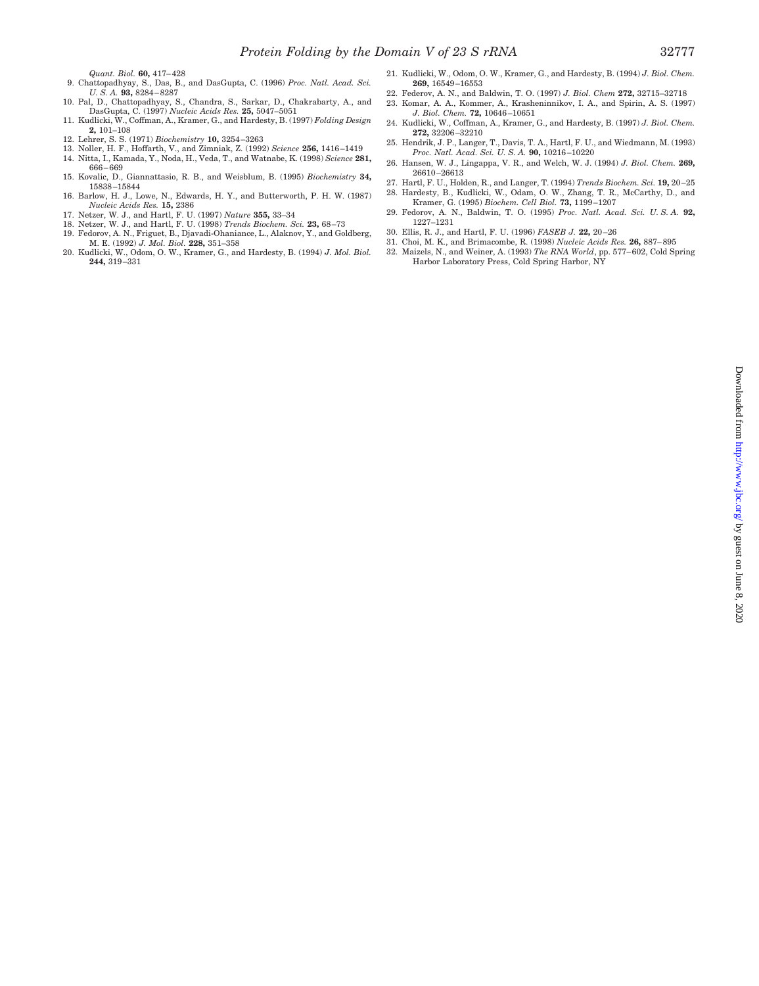*Quant. Biol.* **60,** 417–428

- 9. Chattopadhyay, S., Das, B., and DasGupta, C. (1996) *Proc. Natl. Acad. Sci. U. S. A.* **93,** 8284–8287
- 10. Pal, D., Chattopadhyay, S., Chandra, S., Sarkar, D., Chakrabarty, A., and DasGupta, C. (1997) *Nucleic Acids Res.* **25,** 5047–5051
- 11. Kudlicki, W., Coffman, A., Kramer, G., and Hardesty, B. (1997) *Folding Design* **2,** 101–108
- 12. Lehrer, S. S. (1971) *Biochemistry* **10,** 3254–3263
- 13. Noller, H. F., Hoffarth, V., and Zimniak, Z. (1992) *Science* **256,** 1416–1419
- 14. Nitta, I., Kamada, Y., Noda, H., Veda, T., and Watnabe, K. (1998) *Science* **281,** 666–669
- 15. Kovalic, D., Giannattasio, R. B., and Weisblum, B. (1995) *Biochemistry* **34,** 15838–15844 16. Barlow, H. J., Lowe, N., Edwards, H. Y., and Butterworth, P. H. W. (1987)
- *Nucleic Acids Res.* **15,** 2386
- 17. Netzer, W. J., and Hartl, F. U. (1997) *Nature* **355,** 33–34
- 18. Netzer, W. J., and Hartl, F. U. (1998) *Trends Biochem. Sci.* **23,** 68–73
- 19. Fedorov, A. N., Friguet, B., Djavadi-Ohaniance, L., Alaknov, Y., and Goldberg,
- M. E. (1992) *J. Mol. Biol.* **228,** 351–358 20. Kudlicki, W., Odom, O. W., Kramer, G., and Hardesty, B. (1994) *J. Mol. Biol.* **244,** 319–331
- 21. Kudlicki, W., Odom, O. W., Kramer, G., and Hardesty, B. (1994) *J. Biol. Chem.* **269,** 16549–16553
- 22. Federov, A. N., and Baldwin, T. O. (1997) *J. Biol. Chem* **272,** 32715–32718 23. Komar, A. A., Kommer, A., Krasheninnikov, I. A., and Spirin, A. S. (1997)
- *J. Biol. Chem.* **72,** 10646–10651
- 24. Kudlicki, W., Coffman, A., Kramer, G., and Hardesty, B. (1997) *J. Biol. Chem.* **272,** 32206–32210
- 25. Hendrik, J. P., Langer, T., Davis, T. A., Hartl, F. U., and Wiedmann, M. (1993) *Proc. Natl. Acad. Sci. U. S. A.* **90,** 10216–10220
- 26. Hansen, W. J., Lingappa, V. R., and Welch, W. J. (1994) *J. Biol. Chem.* **269,** 26610–26613
- 27. Hartl, F. U., Holden, R., and Langer, T. (1994) *Trends Biochem. Sci.* **19,** 20–25
- 28. Hardesty, B., Kudlicki, W., Odam, O. W., Zhang, T. R., McCarthy, D., and Kramer, G. (1995) *Biochem. Cell Biol.* **73,** 1199–1207 29. Fedorov, A. N., Baldwin, T. O. (1995) *Proc. Natl. Acad. Sci. U. S. A.* **92,** 1227–1231
- 30. Ellis, R. J., and Hartl, F. U. (1996) *FASEB J.* **22,** 20–26
- 31. Choi, M. K., and Brimacombe, R. (1998) *Nucleic Acids Res.* **26,** 887–895
- 32. Maizels, N., and Weiner, A. (1993) *The RNA World*, pp. 577–602, Cold Spring Harbor Laboratory Press, Cold Spring Harbor, NY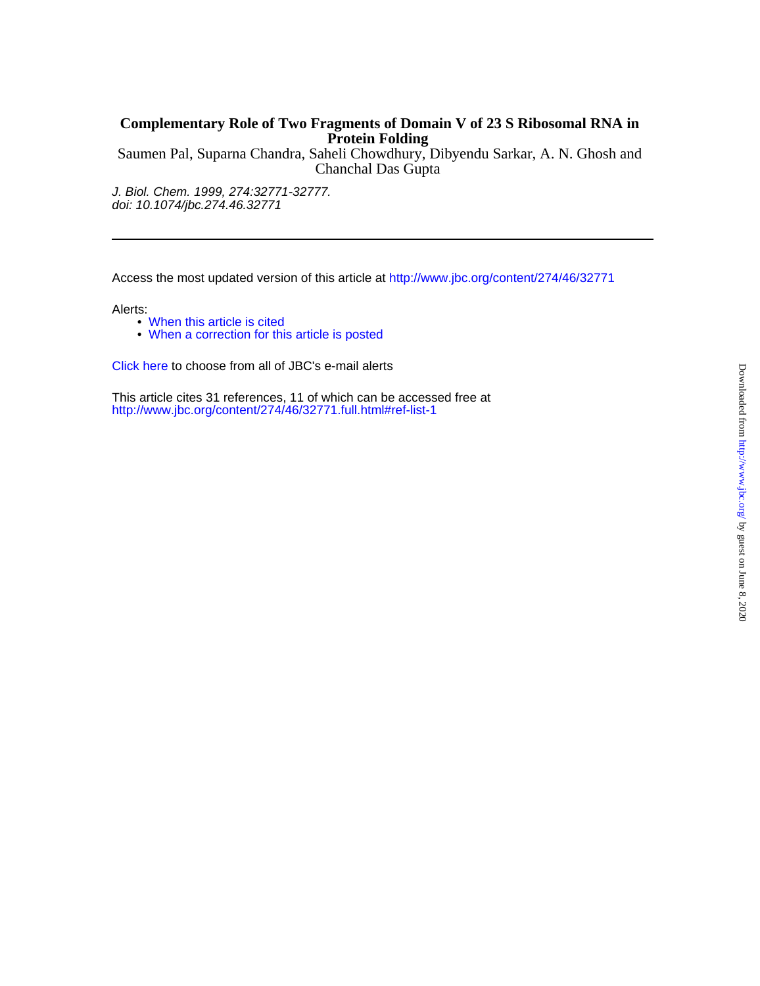# **Protein Folding Complementary Role of Two Fragments of Domain V of 23 S Ribosomal RNA in**

Chanchal Das Gupta Saumen Pal, Suparna Chandra, Saheli Chowdhury, Dibyendu Sarkar, A. N. Ghosh and

doi: 10.1074/jbc.274.46.32771 J. Biol. Chem. 1999, 274:32771-32777.

Access the most updated version of this article at<http://www.jbc.org/content/274/46/32771>

Alerts:

- [When this article is cited](http://www.jbc.org/cgi/alerts?alertType=citedby&addAlert=cited_by&cited_by_criteria_resid=jbc;274/46/32771&saveAlert=no&return-type=article&return_url=http://www.jbc.org/content/274/46/32771)
- [When a correction for this article is posted](http://www.jbc.org/cgi/alerts?alertType=correction&addAlert=correction&correction_criteria_value=274/46/32771&saveAlert=no&return-type=article&return_url=http://www.jbc.org/content/274/46/32771)

[Click here](http://www.jbc.org/cgi/alerts/etoc) to choose from all of JBC's e-mail alerts

<http://www.jbc.org/content/274/46/32771.full.html#ref-list-1> This article cites 31 references, 11 of which can be accessed free at